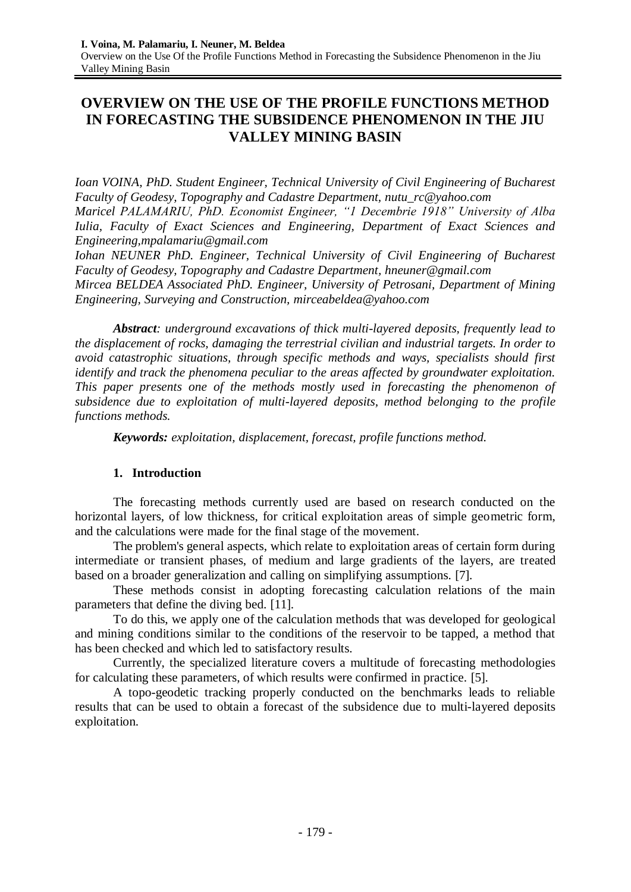# **OVERVIEW ON THE USE OF THE PROFILE FUNCTIONS METHOD IN FORECASTING THE SUBSIDENCE PHENOMENON IN THE JIU VALLEY MINING BASIN**

*Ioan VOINA, PhD. Student Engineer, Technical University of Civil Engineering of Bucharest Faculty of Geodesy, Topography and Cadastre Department, [nutu\\_rc@yahoo.com](mailto:nutu_rc@yahoo.com) Maricel PALAMARIU, PhD. Economist Engineer, "1 Decembrie 1918" University of Alba Iulia, Faculty of Exact Sciences and Engineering, Department of Exact Sciences and Engineering[,mpalamariu@gmail.com](mailto:mpalamariu@gmail.com)*

*Iohan NEUNER PhD. Engineer, Technical University of Civil Engineering of Bucharest Faculty of Geodesy, Topography and Cadastre Department, [hneuner@gmail.com](mailto:hneuner@gmail.com) Mircea BELDEA Associated PhD. Engineer, University of Petrosani, Department of Mining Engineering, Surveying and Construction, [mirceabeldea@yahoo.com](mailto:mirceabeldea@yahoo.com)*

*Abstract: underground excavations of thick multi-layered deposits, frequently lead to the displacement of rocks, damaging the terrestrial civilian and industrial targets. In order to avoid catastrophic situations, through specific methods and ways, specialists should first identify and track the phenomena peculiar to the areas affected by groundwater exploitation. This paper presents one of the methods mostly used in forecasting the phenomenon of subsidence due to exploitation of multi-layered deposits, method belonging to the profile functions methods.* 

*Keywords: exploitation, displacement, forecast, profile functions method.*

### **1. Introduction**

The forecasting methods currently used are based on research conducted on the horizontal layers, of low thickness, for critical exploitation areas of simple geometric form, and the calculations were made for the final stage of the movement.

The problem's general aspects, which relate to exploitation areas of certain form during intermediate or transient phases, of medium and large gradients of the layers, are treated based on a broader generalization and calling on simplifying assumptions. [7].

These methods consist in adopting forecasting calculation relations of the main parameters that define the diving bed. [11].

To do this, we apply one of the calculation methods that was developed for geological and mining conditions similar to the conditions of the reservoir to be tapped, a method that has been checked and which led to satisfactory results.

Currently, the specialized literature covers a multitude of forecasting methodologies for calculating these parameters, of which results were confirmed in practice. [5].

A topo-geodetic tracking properly conducted on the benchmarks leads to reliable results that can be used to obtain a forecast of the subsidence due to multi-layered deposits exploitation.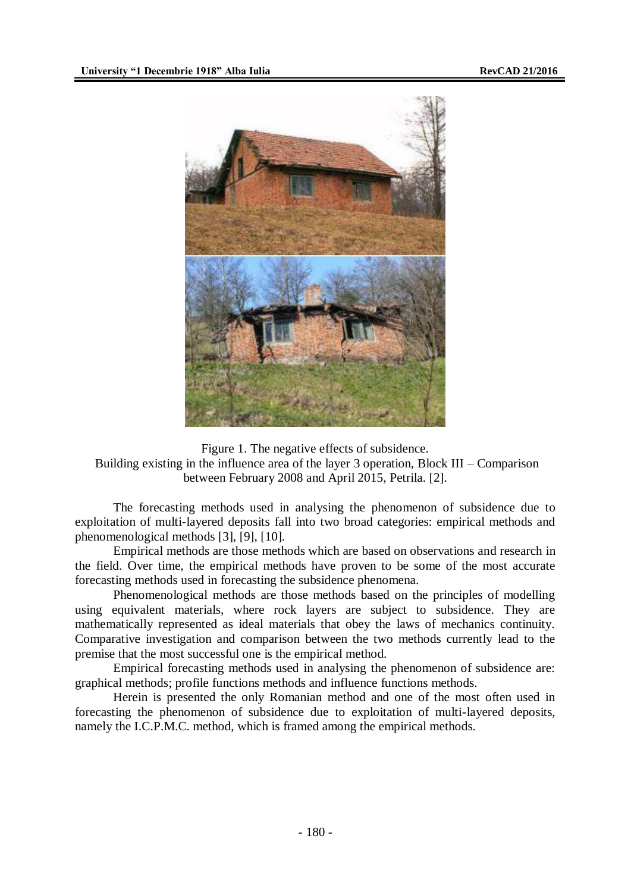

Figure 1. The negative effects of subsidence. Building existing in the influence area of the layer 3 operation, Block III – Comparison between February 2008 and April 2015, Petrila. [2].

The forecasting methods used in analysing the phenomenon of subsidence due to exploitation of multi-layered deposits fall into two broad categories: empirical methods and phenomenological methods [3], [9], [10].

Empirical methods are those methods which are based on observations and research in the field. Over time, the empirical methods have proven to be some of the most accurate forecasting methods used in forecasting the subsidence phenomena.

Phenomenological methods are those methods based on the principles of modelling using equivalent materials, where rock layers are subject to subsidence. They are mathematically represented as ideal materials that obey the laws of mechanics continuity. Comparative investigation and comparison between the two methods currently lead to the premise that the most successful one is the empirical method.

Empirical forecasting methods used in analysing the phenomenon of subsidence are: graphical methods; profile functions methods and influence functions methods.

Herein is presented the only Romanian method and one of the most often used in forecasting the phenomenon of subsidence due to exploitation of multi-layered deposits, namely the I.C.P.M.C. method, which is framed among the empirical methods.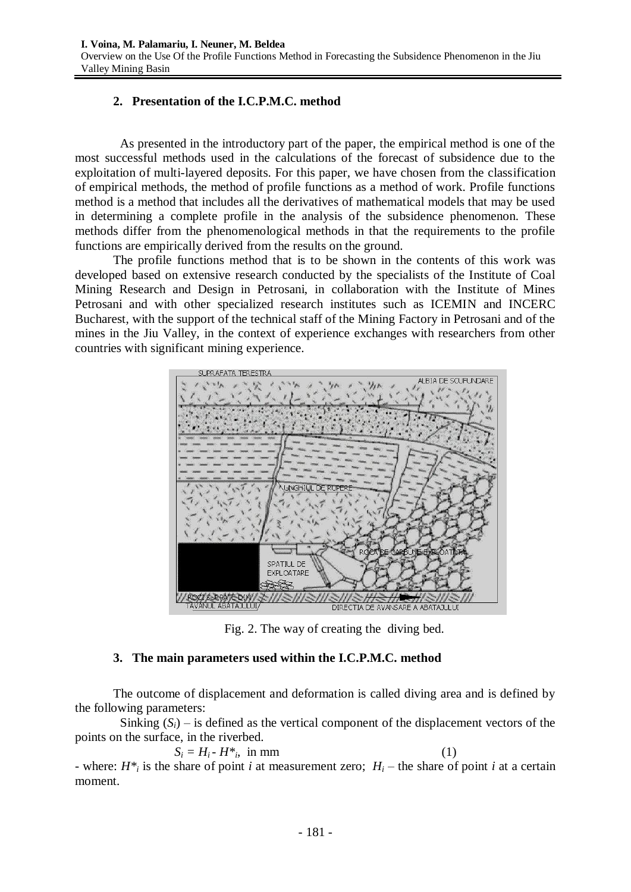## **2. Presentation of the I.C.P.M.C. method**

As presented in the introductory part of the paper, the empirical method is one of the most successful methods used in the calculations of the forecast of subsidence due to the exploitation of multi-layered deposits. For this paper, we have chosen from the classification of empirical methods, the method of profile functions as a method of work. Profile functions method is a method that includes all the derivatives of mathematical models that may be used in determining a complete profile in the analysis of the subsidence phenomenon. These methods differ from the phenomenological methods in that the requirements to the profile functions are empirically derived from the results on the ground.

The profile functions method that is to be shown in the contents of this work was developed based on extensive research conducted by the specialists of the Institute of Coal Mining Research and Design in Petrosani, in collaboration with the Institute of Mines Petrosani and with other specialized research institutes such as ICEMIN and INCERC Bucharest, with the support of the technical staff of the Mining Factory in Petrosani and of the mines in the Jiu Valley, in the context of experience exchanges with researchers from other countries with significant mining experience.



Fig. 2. The way of creating the diving bed.

### **3. The main parameters used within the I.C.P.M.C. method**

The outcome of displacement and deformation is called diving area and is defined by the following parameters:

Sinking  $(S_i)$  – is defined as the vertical component of the displacement vectors of the points on the surface, in the riverbed.

$$
S_i = H_i - H^*, \text{ in mm}
$$
 (1)

- where:  $H^*$ <sup>*i*</sup> is the share of point *i* at measurement zero;  $H$ <sup>*i*</sup> – the share of point *i* at a certain moment.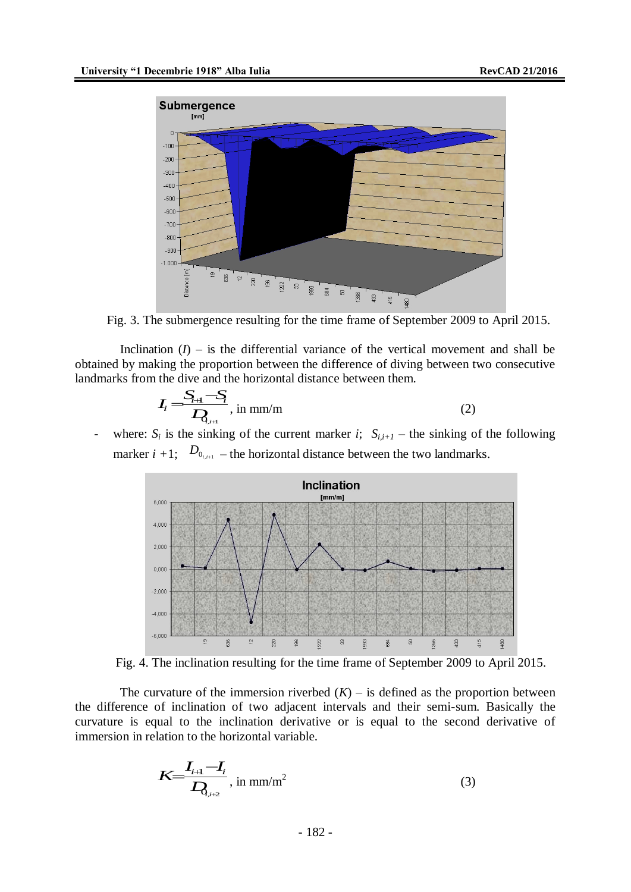

Fig. 3. The submergence resulting for the time frame of September 2009 to April 2015.

Inclination  $(I)$  – is the differential variance of the vertical movement and shall be obtained by making the proportion between the difference of diving between two consecutive landmarks from the dive and the horizontal distance between them.

$$
I_i = \frac{S_{i+1} - S_i}{D_{i+1}}, \text{ in mm/m}
$$
 (2)

- where:  $S_i$  is the sinking of the current marker *i*;  $S_{i,i+1}$  – the sinking of the following marker  $i + 1$ ;  $D_{0_{i,i+1}}$  – the horizontal distance between the two landmarks.



Fig. 4. The inclination resulting for the time frame of September 2009 to April 2015.

The curvature of the immersion riverbed  $(K)$  – is defined as the proportion between the difference of inclination of two adjacent intervals and their semi-sum. Basically the curvature is equal to the inclination derivative or is equal to the second derivative of immersion in relation to the horizontal variable.

$$
K = \frac{I_{i+1} - I_i}{D_{i+2}}, \text{ in } \text{mm/m}^2
$$
 (3)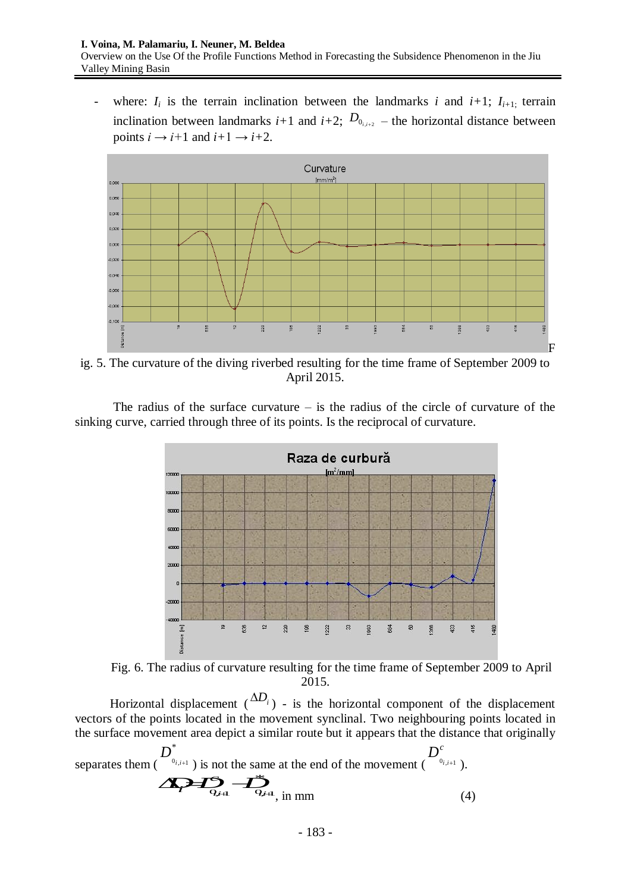- where:  $I_i$  is the terrain inclination between the landmarks *i* and  $i+1$ ;  $I_{i+1}$ ; terrain inclination between landmarks  $i+1$  and  $i+2$ ;  $D_{0_{i,i+2}}$  – the horizontal distance between points  $i \rightarrow i+1$  and  $i+1 \rightarrow i+2$ .



ig. 5. The curvature of the diving riverbed resulting for the time frame of September 2009 to April 2015.

The radius of the surface curvature  $-$  is the radius of the circle of curvature of the sinking curve, carried through three of its points. Is the reciprocal of curvature.



Fig. 6. The radius of curvature resulting for the time frame of September 2009 to April 2015.

Horizontal displacement  $\Delta D_i$ ) - is the horizontal component of the displacement vectors of the points located in the movement synclinal. Two neighbouring points located in the surface movement area depict a similar route but it appears that the distance that originally

$$
D^{*}
$$
  
separates them ( $D^{*}$ ) is not the same at the end of the movement ( $D^{c}$ )  
Q<sub>i,i+1</sub> ).  
Q<sub>j+1</sub>  $\longrightarrow$   $D^{*}$   
Q<sub>j+1</sub>  $\longrightarrow$   $D^{*}$   
Q<sub>j+1</sub>  $\longrightarrow$   $D^{*}$   
(4)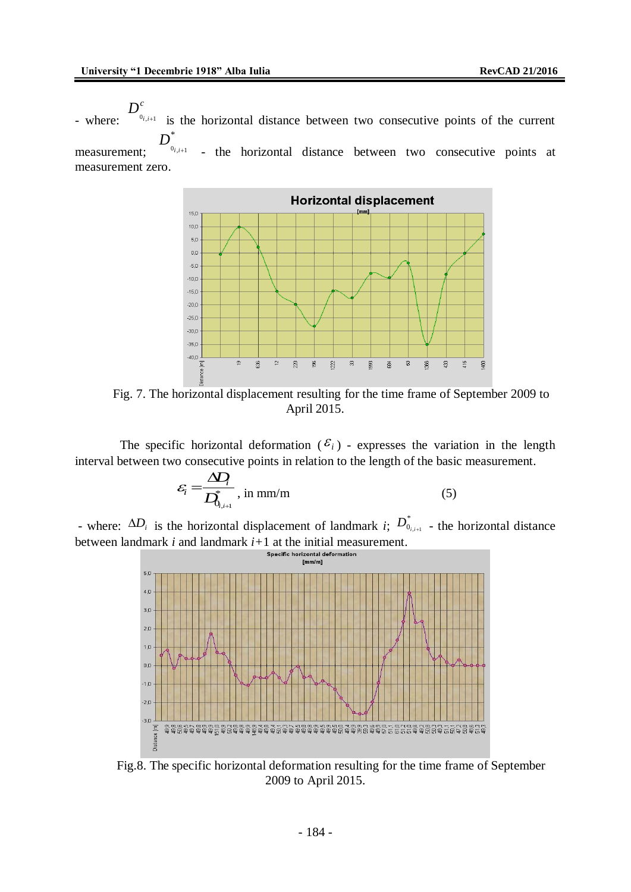- where:  $D_{_{_{0_{i,i+1}}}^{c}}^{c}$  $D_{0_{i,i+1}}^c$  is the horizontal distance between two consecutive points of the current \*

measurement;  $D^*_{\sigma_{i,i+1}}$  , the horizontal distance between - the horizontal distance between two consecutive points at measurement zero.



Fig. 7. The horizontal displacement resulting for the time frame of September 2009 to April 2015.

The specific horizontal deformation  $(\mathcal{E}_i)$  - expresses the variation in the length interval between two consecutive points in relation to the length of the basic measurement.

$$
\varepsilon_{i} = \frac{\Delta D_{i}}{D_{0_{i,i+1}}^{*}} \text{, in mm/m} \tag{5}
$$

- where:  $\Delta D_i$  is the horizontal displacement of landmark *i*;  $D_{0_{i,i+1}}^*$  - the horizontal distance  $D^*_{0_{i,i+1}}$  - the horizontal distance between landmark *i* and landmark  $i+1$  at the initial measurement.<br>Specific horizontal deformation



Fig.8. The specific horizontal deformation resulting for the time frame of September 2009 to April 2015.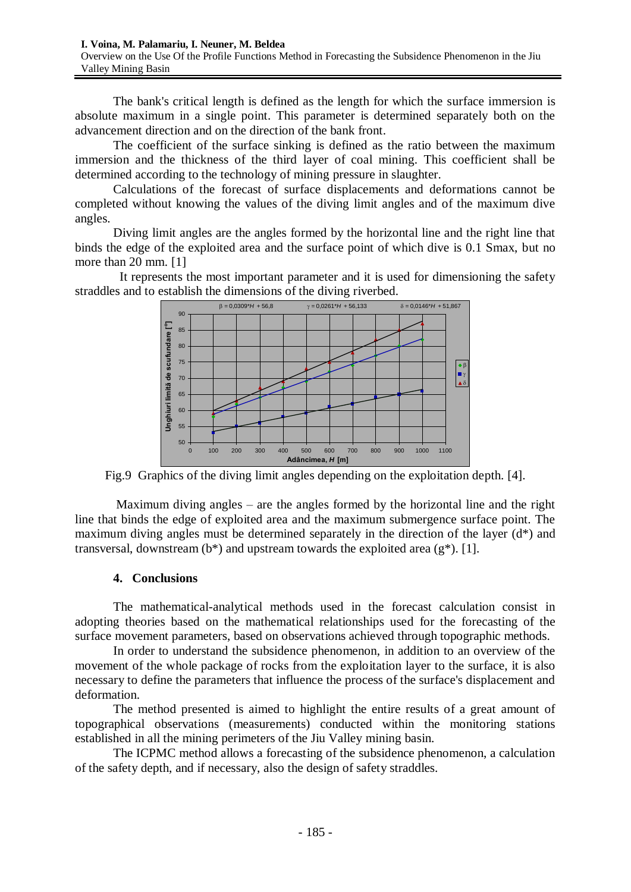The bank's critical length is defined as the length for which the surface immersion is absolute maximum in a single point. This parameter is determined separately both on the advancement direction and on the direction of the bank front.

The coefficient of the surface sinking is defined as the ratio between the maximum immersion and the thickness of the third layer of coal mining. This coefficient shall be determined according to the technology of mining pressure in slaughter.

Calculations of the forecast of surface displacements and deformations cannot be completed without knowing the values of the diving limit angles and of the maximum dive angles.

Diving limit angles are the angles formed by the horizontal line and the right line that binds the edge of the exploited area and the surface point of which dive is 0.1 Smax, but no more than 20 mm. [1]

It represents the most important parameter and it is used for dimensioning the safety straddles and to establish the dimensions of the diving riverbed.



Fig.9 Graphics of the diving limit angles depending on the exploitation depth. [4].

Maximum diving angles – are the angles formed by the horizontal line and the right line that binds the edge of exploited area and the maximum submergence surface point. The maximum diving angles must be determined separately in the direction of the layer (d\*) and transversal, downstream ( $b^*$ ) and upstream towards the exploited area ( $g^*$ ). [1].

#### **4. Conclusions**

The mathematical-analytical methods used in the forecast calculation consist in adopting theories based on the mathematical relationships used for the forecasting of the surface movement parameters, based on observations achieved through topographic methods.

In order to understand the subsidence phenomenon, in addition to an overview of the movement of the whole package of rocks from the exploitation layer to the surface, it is also necessary to define the parameters that influence the process of the surface's displacement and deformation.

The method presented is aimed to highlight the entire results of a great amount of topographical observations (measurements) conducted within the monitoring stations established in all the mining perimeters of the Jiu Valley mining basin.

The ICPMC method allows a forecasting of the subsidence phenomenon, a calculation of the safety depth, and if necessary, also the design of safety straddles.